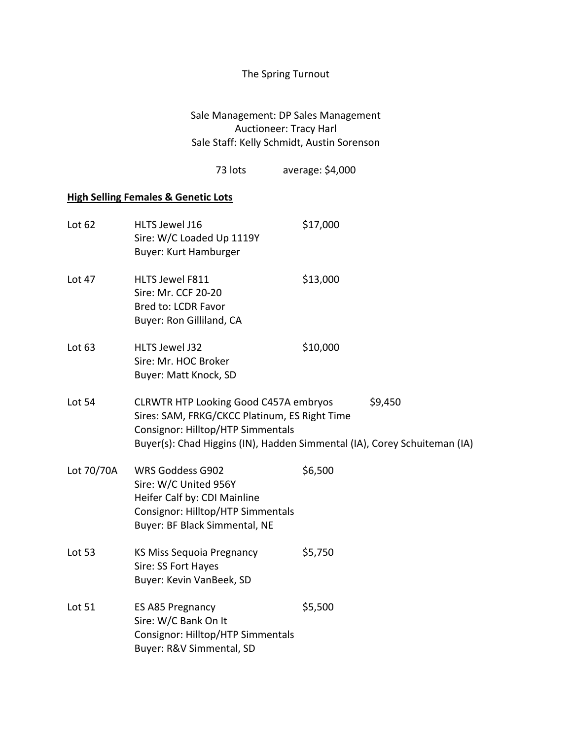## The Spring Turnout

Sale Management: DP Sales Management Auctioneer: Tracy Harl Sale Staff: Kelly Schmidt, Austin Sorenson

73 lots average: \$4,000

## **High Selling Females & Genetic Lots**

| Lot 62     | HLTS Jewel J16<br>Sire: W/C Loaded Up 1119Y<br><b>Buyer: Kurt Hamburger</b>                                                                            | \$17,000                                                                             |
|------------|--------------------------------------------------------------------------------------------------------------------------------------------------------|--------------------------------------------------------------------------------------|
| Lot 47     | HLTS Jewel F811<br>Sire: Mr. CCF 20-20<br>Bred to: LCDR Favor<br>Buyer: Ron Gilliland, CA                                                              | \$13,000                                                                             |
| Lot $63$   | HLTS Jewel J32<br>Sire: Mr. HOC Broker<br><b>Buyer: Matt Knock, SD</b>                                                                                 | \$10,000                                                                             |
| Lot 54     | <b>CLRWTR HTP Looking Good C457A embryos</b><br>Sires: SAM, FRKG/CKCC Platinum, ES Right Time<br>Consignor: Hilltop/HTP Simmentals                     | \$9,450<br>Buyer(s): Chad Higgins (IN), Hadden Simmental (IA), Corey Schuiteman (IA) |
| Lot 70/70A | <b>WRS Goddess G902</b><br>Sire: W/C United 956Y<br>Heifer Calf by: CDI Mainline<br>Consignor: Hilltop/HTP Simmentals<br>Buyer: BF Black Simmental, NE | \$6,500                                                                              |
| Lot 53     | KS Miss Sequoia Pregnancy<br>Sire: SS Fort Hayes<br>Buyer: Kevin VanBeek, SD                                                                           | \$5,750                                                                              |
| Lot 51     | ES A85 Pregnancy<br>Sire: W/C Bank On It<br>Consignor: Hilltop/HTP Simmentals<br>Buyer: R&V Simmental, SD                                              | \$5,500                                                                              |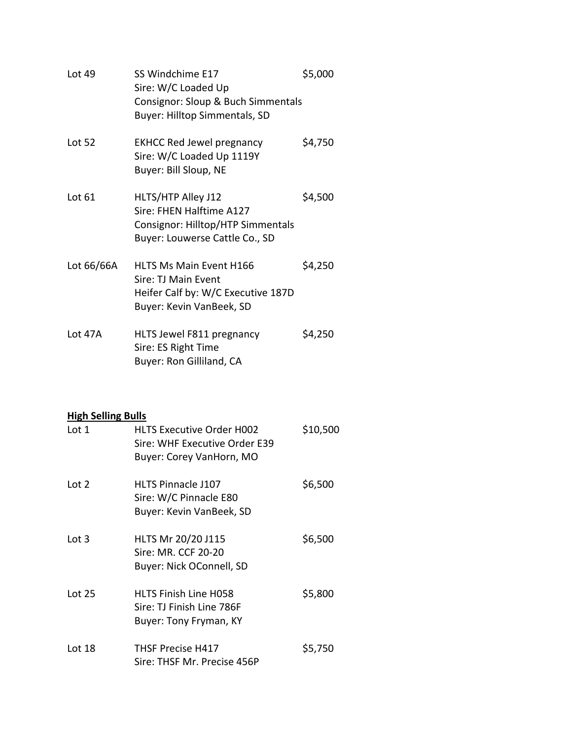| Lot 49                             | SS Windchime E17<br>Sire: W/C Loaded Up<br>Consignor: Sloup & Buch Simmentals<br>Buyer: Hilltop Simmentals, SD          | \$5,000  |
|------------------------------------|-------------------------------------------------------------------------------------------------------------------------|----------|
| Lot 52                             | <b>EKHCC Red Jewel pregnancy</b><br>Sire: W/C Loaded Up 1119Y<br>Buyer: Bill Sloup, NE                                  | \$4,750  |
| Lot 61                             | HLTS/HTP Alley J12<br>Sire: FHEN Halftime A127<br>Consignor: Hilltop/HTP Simmentals<br>Buyer: Louwerse Cattle Co., SD   | \$4,500  |
| Lot 66/66A                         | <b>HLTS Ms Main Event H166</b><br>Sire: TJ Main Event<br>Heifer Calf by: W/C Executive 187D<br>Buyer: Kevin VanBeek, SD | \$4,250  |
| Lot 47A                            | HLTS Jewel F811 pregnancy<br>Sire: ES Right Time<br>Buyer: Ron Gilliland, CA                                            | \$4,250  |
| <b>High Selling Bulls</b><br>Lot 1 | <b>HLTS Executive Order H002</b><br>Sire: WHF Executive Order E39<br>Buyer: Corey VanHorn, MO                           | \$10,500 |

| Lot $2$  | <b>HLTS Pinnacle J107</b><br>Sire: W/C Pinnacle E80<br>Buyer: Kevin VanBeek, SD     | \$6,500 |
|----------|-------------------------------------------------------------------------------------|---------|
| Lot $3$  | HLTS Mr 20/20 J115<br>Sire: MR. CCF 20-20<br>Buyer: Nick OConnell, SD               | \$6,500 |
| Lot $25$ | <b>HLTS Finish Line H058</b><br>Sire: TJ Finish Line 786F<br>Buyer: Tony Fryman, KY | \$5,800 |
| Lot 18   | <b>THSF Precise H417</b><br>Sire: THSF Mr. Precise 456P                             | \$5,750 |